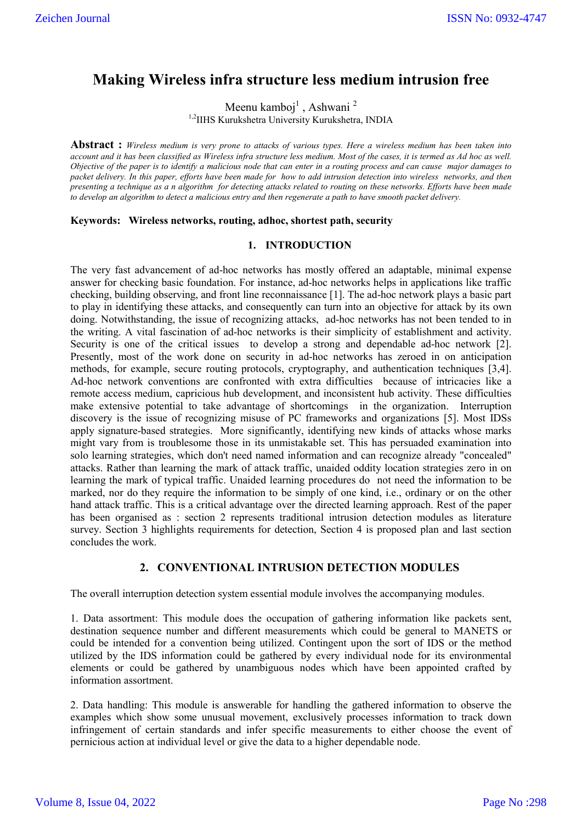# **Making Wireless infra structure less medium intrusion free**

Meenu kamboj<sup>1</sup>, Ashwani<sup>2</sup>

<sup>1,2</sup>IIHS Kurukshetra University Kurukshetra, INDIA

**Abstract :** *Wireless medium is very prone to attacks of various types. Here a wireless medium has been taken into account and it has been classified as Wireless infra structure less medium. Most of the cases, it is termed as Ad hoc as well. Objective of the paper is to identify a malicious node that can enter in a routing process and can cause major damages to packet delivery. In this paper, efforts have been made for how to add intrusion detection into wireless networks, and then presenting a technique as a n algorithm for detecting attacks related to routing on these networks. Efforts have been made to develop an algorithm to detect a malicious entry and then regenerate a path to have smooth packet delivery.*

## **Keywords: Wireless networks, routing, adhoc, shortest path, security**

## **1. INTRODUCTION**

The very fast advancement of ad-hoc networks has mostly offered an adaptable, minimal expense answer for checking basic foundation. For instance, ad-hoc networks helps in applications like traffic checking, building observing, and front line reconnaissance [1]. The ad-hoc network plays a basic part to play in identifying these attacks, and consequently can turn into an objective for attack by its own doing. Notwithstanding, the issue of recognizing attacks, ad-hoc networks has not been tended to in the writing. A vital fascination of ad-hoc networks is their simplicity of establishment and activity. Security is one of the critical issues to develop a strong and dependable ad-hoc network [2]. Presently, most of the work done on security in ad-hoc networks has zeroed in on anticipation methods, for example, secure routing protocols, cryptography, and authentication techniques [3,4]. Ad-hoc network conventions are confronted with extra difficulties because of intricacies like a remote access medium, capricious hub development, and inconsistent hub activity. These difficulties make extensive potential to take advantage of shortcomings in the organization. Interruption discovery is the issue of recognizing misuse of PC frameworks and organizations [5]. Most IDSs apply signature-based strategies. More significantly, identifying new kinds of attacks whose marks might vary from is troublesome those in its unmistakable set. This has persuaded examination into solo learning strategies, which don't need named information and can recognize already "concealed" attacks. Rather than learning the mark of attack traffic, unaided oddity location strategies zero in on learning the mark of typical traffic. Unaided learning procedures do not need the information to be marked, nor do they require the information to be simply of one kind, i.e., ordinary or on the other hand attack traffic. This is a critical advantage over the directed learning approach. Rest of the paper has been organised as : section 2 represents traditional intrusion detection modules as literature survey. Section 3 highlights requirements for detection, Section 4 is proposed plan and last section concludes the work.

# **2. CONVENTIONAL INTRUSION DETECTION MODULES**

The overall interruption detection system essential module involves the accompanying modules.

1. Data assortment: This module does the occupation of gathering information like packets sent, destination sequence number and different measurements which could be general to MANETS or could be intended for a convention being utilized. Contingent upon the sort of IDS or the method utilized by the IDS information could be gathered by every individual node for its environmental elements or could be gathered by unambiguous nodes which have been appointed crafted by information assortment.

2. Data handling: This module is answerable for handling the gathered information to observe the examples which show some unusual movement, exclusively processes information to track down infringement of certain standards and infer specific measurements to either choose the event of pernicious action at individual level or give the data to a higher dependable node.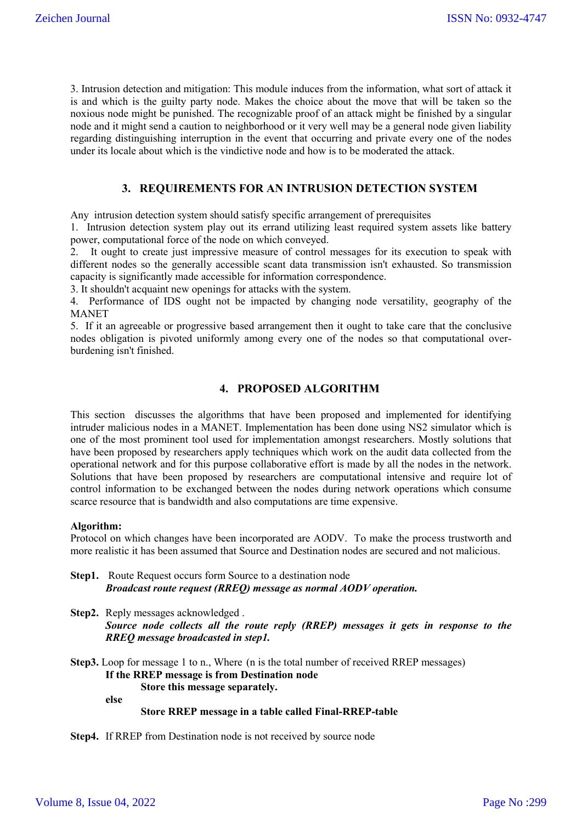3. Intrusion detection and mitigation: This module induces from the information, what sort of attack it is and which is the guilty party node. Makes the choice about the move that will be taken so the noxious node might be punished. The recognizable proof of an attack might be finished by a singular node and it might send a caution to neighborhood or it very well may be a general node given liability regarding distinguishing interruption in the event that occurring and private every one of the nodes under its locale about which is the vindictive node and how is to be moderated the attack.

# **3. REQUIREMENTS FOR AN INTRUSION DETECTION SYSTEM**

Any intrusion detection system should satisfy specific arrangement of prerequisites

1. Intrusion detection system play out its errand utilizing least required system assets like battery power, computational force of the node on which conveyed.

2. It ought to create just impressive measure of control messages for its execution to speak with different nodes so the generally accessible scant data transmission isn't exhausted. So transmission capacity is significantly made accessible for information correspondence.

3. It shouldn't acquaint new openings for attacks with the system.

4. Performance of IDS ought not be impacted by changing node versatility, geography of the MANET

5. If it an agreeable or progressive based arrangement then it ought to take care that the conclusive nodes obligation is pivoted uniformly among every one of the nodes so that computational overburdening isn't finished.

# **4. PROPOSED ALGORITHM**

This section discusses the algorithms that have been proposed and implemented for identifying intruder malicious nodes in a MANET. Implementation has been done using NS2 simulator which is one of the most prominent tool used for implementation amongst researchers. Mostly solutions that have been proposed by researchers apply techniques which work on the audit data collected from the operational network and for this purpose collaborative effort is made by all the nodes in the network. Solutions that have been proposed by researchers are computational intensive and require lot of control information to be exchanged between the nodes during network operations which consume scarce resource that is bandwidth and also computations are time expensive.

#### **Algorithm:**

Protocol on which changes have been incorporated are AODV. To make the process trustworth and more realistic it has been assumed that Source and Destination nodes are secured and not malicious.

**Step1.** Route Request occurs form Source to a destination node  *Broadcast route request (RREQ) message as normal AODV operation.*

**Step2.** Reply messages acknowledged . *Source node collects all the route reply (RREP) messages it gets in response to the RREQ message broadcasted in step1.* 

**Step3.** Loop for message 1 to n., Where (n is the total number of received RREP messages) **If the RREP message is from Destination node Store this message separately.** 

**else**

#### **Store RREP message in a table called Final-RREP-table**

**Step4.** If RREP from Destination node is not received by source node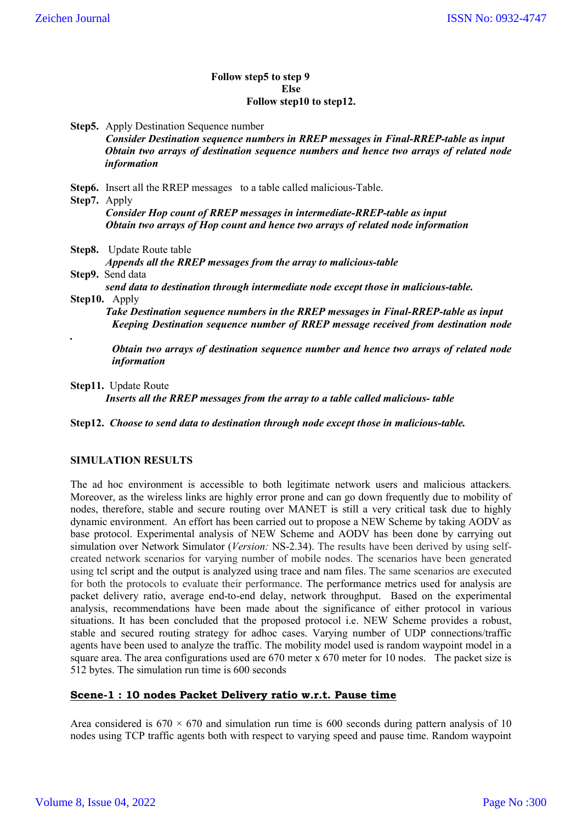### **Follow step5 to step 9 Else Follow step10 to step12.**

**Step5.** Apply Destination Sequence number *Consider Destination sequence numbers in RREP messages in Final-RREP-table as input Obtain two arrays of destination sequence numbers and hence two arrays of related node information* **Step6.** Insert all the RREP messages to a table called malicious-Table. **Step7.** Apply *Consider Hop count of RREP messages in intermediate-RREP-table as input Obtain two arrays of Hop count and hence two arrays of related node information* **Step8.** Update Route table *Appends all the RREP messages from the array to malicious-table*  **Step9.** Send data *send data to destination through intermediate node except those in malicious-table.* **Step10.** Apply  *Take Destination sequence numbers in the RREP messages in Final-RREP-table as input Keeping Destination sequence number of RREP message received from destination node . Obtain two arrays of destination sequence number and hence two arrays of related node* 

**Step11.** Update Route

*information*

*Inserts all the RREP messages from the array to a table called malicious- table*

**Step12.** *Choose to send data to destination through node except those in malicious-table.*

## **SIMULATION RESULTS**

The ad hoc environment is accessible to both legitimate network users and malicious attackers. Moreover, as the wireless links are highly error prone and can go down frequently due to mobility of nodes, therefore, stable and secure routing over MANET is still a very critical task due to highly dynamic environment. An effort has been carried out to propose a NEW Scheme by taking AODV as base protocol. Experimental analysis of NEW Scheme and AODV has been done by carrying out simulation over Network Simulator (*Version:* NS-2.34). The results have been derived by using selfcreated network scenarios for varying number of mobile nodes. The scenarios have been generated using tcl script and the output is analyzed using trace and nam files. The same scenarios are executed for both the protocols to evaluate their performance. The performance metrics used for analysis are packet delivery ratio, average end-to-end delay, network throughput. Based on the experimental analysis, recommendations have been made about the significance of either protocol in various situations. It has been concluded that the proposed protocol i.e. NEW Scheme provides a robust, stable and secured routing strategy for adhoc cases. Varying number of UDP connections/traffic agents have been used to analyze the traffic. The mobility model used is random waypoint model in a square area. The area configurations used are 670 meter x 670 meter for 10 nodes. The packet size is 512 bytes. The simulation run time is 600 seconds

# **Scene-1 : 10 nodes Packet Delivery ratio w.r.t. Pause time**

Area considered is  $670 \times 670$  and simulation run time is 600 seconds during pattern analysis of 10 nodes using TCP traffic agents both with respect to varying speed and pause time. Random waypoint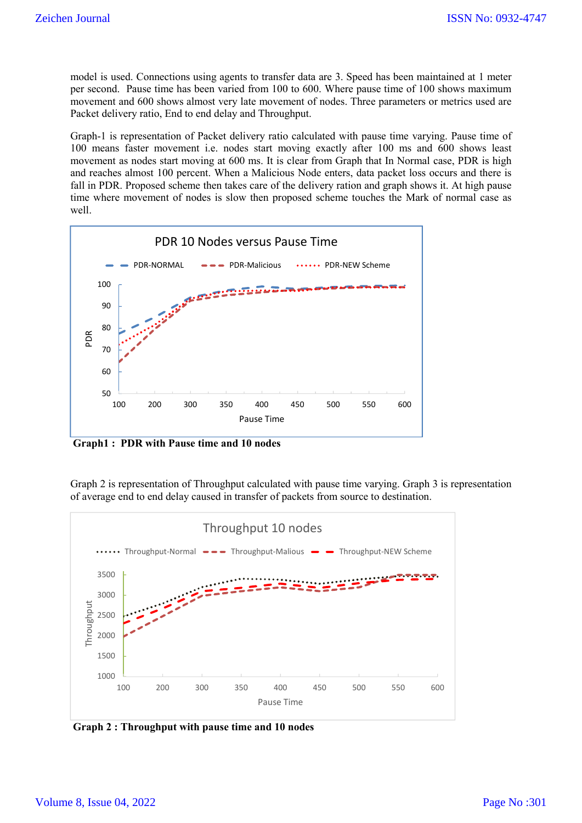model is used. Connections using agents to transfer data are 3. Speed has been maintained at 1 meter per second. Pause time has been varied from 100 to 600. Where pause time of 100 shows maximum movement and 600 shows almost very late movement of nodes. Three parameters or metrics used are Packet delivery ratio, End to end delay and Throughput.

Graph-1 is representation of Packet delivery ratio calculated with pause time varying. Pause time of 100 means faster movement i.e. nodes start moving exactly after 100 ms and 600 shows least movement as nodes start moving at 600 ms. It is clear from Graph that In Normal case, PDR is high and reaches almost 100 percent. When a Malicious Node enters, data packet loss occurs and there is fall in PDR. Proposed scheme then takes care of the delivery ration and graph shows it. At high pause time where movement of nodes is slow then proposed scheme touches the Mark of normal case as well.



**Graph1 : PDR with Pause time and 10 nodes**

Graph 2 is representation of Throughput calculated with pause time varying. Graph 3 is representation of average end to end delay caused in transfer of packets from source to destination.



**Graph 2 : Throughput with pause time and 10 nodes**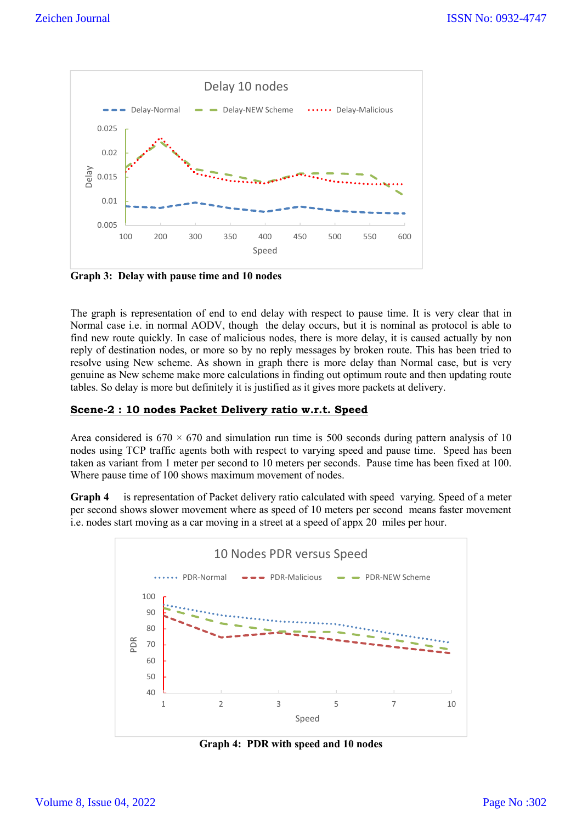

**Graph 3: Delay with pause time and 10 nodes**

The graph is representation of end to end delay with respect to pause time. It is very clear that in Normal case i.e. in normal AODV, though the delay occurs, but it is nominal as protocol is able to find new route quickly. In case of malicious nodes, there is more delay, it is caused actually by non reply of destination nodes, or more so by no reply messages by broken route. This has been tried to resolve using New scheme. As shown in graph there is more delay than Normal case, but is very genuine as New scheme make more calculations in finding out optimum route and then updating route tables. So delay is more but definitely it is justified as it gives more packets at delivery.

# **Scene-2 : 10 nodes Packet Delivery ratio w.r.t. Speed**

Area considered is  $670 \times 670$  and simulation run time is 500 seconds during pattern analysis of 10 nodes using TCP traffic agents both with respect to varying speed and pause time. Speed has been taken as variant from 1 meter per second to 10 meters per seconds. Pause time has been fixed at 100. Where pause time of 100 shows maximum movement of nodes.

**Graph 4** is representation of Packet delivery ratio calculated with speed varying. Speed of a meter per second shows slower movement where as speed of 10 meters per second means faster movement i.e. nodes start moving as a car moving in a street at a speed of appx 20 miles per hour.



**Graph 4: PDR with speed and 10 nodes**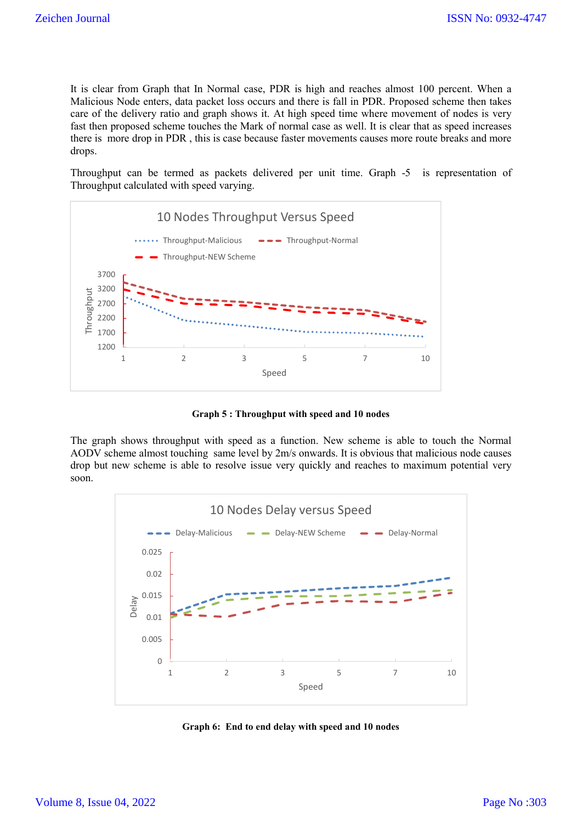It is clear from Graph that In Normal case, PDR is high and reaches almost 100 percent. When a Malicious Node enters, data packet loss occurs and there is fall in PDR. Proposed scheme then takes care of the delivery ratio and graph shows it. At high speed time where movement of nodes is very fast then proposed scheme touches the Mark of normal case as well. It is clear that as speed increases there is more drop in PDR , this is case because faster movements causes more route breaks and more drops.

Throughput can be termed as packets delivered per unit time. Graph -5 is representation of Throughput calculated with speed varying.



**Graph 5 : Throughput with speed and 10 nodes**

The graph shows throughput with speed as a function. New scheme is able to touch the Normal AODV scheme almost touching same level by 2m/s onwards. It is obvious that malicious node causes drop but new scheme is able to resolve issue very quickly and reaches to maximum potential very soon.